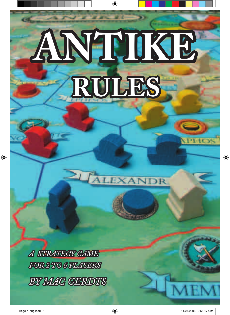# **ANTIKE RULES** PEIOS

 $\bigoplus$ 

*A STRATEGY GAME FOR 2 TO 6 PLAYERS BY MAC GERDTS*

⊕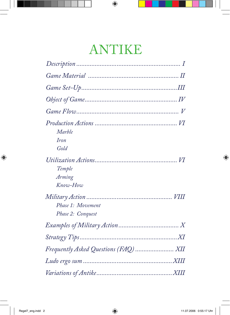# ANTIKE

 $\bigoplus$ 

| Marble            |
|-------------------|
| Iron              |
| Gold              |
| Temple            |
| Arming            |
| Know-How          |
| Phase 1: Movement |
| Phase 2: Conquest |
|                   |
|                   |
|                   |
|                   |
|                   |

 $\bigoplus$ 

 $\bigoplus$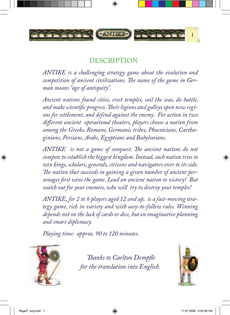

 $\bigcirc$ 

# DESCRIPTION

*ANTIKE is a challenging strategy game about the evolution and competition of ancient civilizations. The name of the game in German means "age of antiquity".*

*Ancient nations found cities, erect temples, sail the seas, do battle, and make scientific progress. Their legions and galleys open new regions for settlement, and defend against the enemy. For action in two different ancient operational theaters, players choose a nation from among the Greeks, Romans, Germanic tribes, Phoenicians, Carthaginians, Persians, Arabs, Egyptians and Babylonians.*

*ANTIKE is not a game of conquest. The ancient nations do not compete to establish the biggest kingdom. Instead, each nation tries to win kings, scholars, generals, citizens and navigators over to its side. The nation that succeeds in gaining a given number of ancient personages first wins the game. Lead an ancient nation to victory! But watch out for your enemies, who will try to destroy your temples!*

*ANTIKE, for 2 to 6 players aged 12 and up, is a fast-moving strategy game, rich in variety and with easy-to-follow rules. Winning depends not on the luck of cards or dice, but on imaginative planning and smart diplomacy.*

*Playing time: approx. 90 to 120 minutes.* 



 *Thanks to Carlton Dempfle for the translation into English.* 



⊕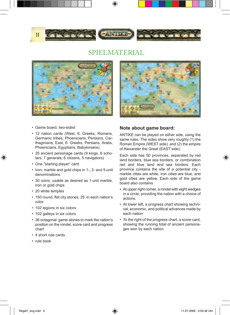

## SPIELMATERIAL



- Game board, two-sided
- 12 nation cards (West, 6: Greeks, Romans, Germanic tribes, Phoenicians, Persians, Carthaginians; East, 6: Greeks, Persians, Arabs, Phoenicians, Egyptians, Babylonians)
- 35 ancient personage cards (9 kings, 8 scholars, 7 generals, 6 citizens, 5 navigators)
- One "starting player" card
- Iron, marble and gold chips in 1-, 2- and 5-unit denominations
- 30 coins, usable as desired as 1-unit marble, iron or gold chips
- 20 white temples

⊕

- 150 round, flat city stones, 25 in each nation's color
- 102 legions in six colors
- 102 galleys in six colors
- 36 octagonal game stones to mark the nation's position on the rondel, score card and progress chart
- 4 short rule cards
- rule book



#### **Note about game board:**

ANTIKE can be played on either side, using the same rules. The sides show very roughly (1) the Roman Empire (WEST side) and (2) the empire of Alexander the Great (EAST side).

Each side has 50 provinces, separated by red land borders, blue sea borders, or combination red and blue land and sea borders. Each province contains the site of a potential city marble cities are white, iron cities are blue, and gold cities are yellow. Each side of the game board also contains

- At upper right corner, a rondel with eight wedges in a circle, providing the nation with a choice of actions.
- At lower left, a progress chart showing technical, economic, and political advances made by each nation
- To the right of the progress chart, a score card, showing the running total of ancient personages won by each nation.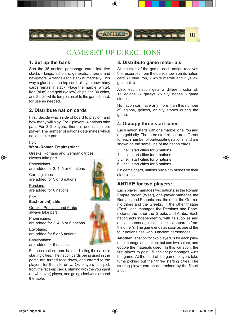

# GAME SET-UP DIRECTIONS

#### **1. Set up the bank**

Sort the 35 ancient personage cards into five stacks - kings, scholars, generals, citizens and navigators. Arrange each stack numerically, This way a glance at the top card tells you how many cards remain in stack. Place the marble (white), iron (blue) and gold (yellow) chips, the 30 coins, and the 20 white temples next to the game board, for use as needed.

#### **2. Distribute nation cards**

First, decide which side of board to play on, and how many will play. For 2 players, 4 nations take part. For 3-6 players, there is one nation per player. The number of nations determines which nations take part.

#### For: **West (Roman Empire) side:**

Greeks, Romans and Germanic tribes always take part

**Phoenicians** are added for 2, 4, 5 or 6 nations

**Carthaginians** are added for 5 or 6 nations

Persians are added for 6 nations

For:

◈

**East (orient) side:**

Greeks, Persians and Arabs always take part

Phoenicians: are added for 2, 4, 5 or 6 nations

Egyptians: are added for 5 or 6 nations

Babylonians: are added for 6 nations

For each nation, there is a card listing the nation's starting cities. The nation cards being used in the game are turned face-down, and offered to the players for them to draw. Or, players can pick from the face-up cards, starting with the youngest (or whatever) player, and going clockwise around the table.

#### **3. Distribute game materials**

At the start of the game, each nation receives the resources from the bank shown on its nation card. (1 blue iron, 2 white marble and 3 yellow gold units).

Also, each nation gets a different color of: 17 legions 17 galleys 25 city stones 6 game stones.

No nation can have any more than this number of legions, galleys, or city stones during the game.

#### **4. Occupy three start cities**

Each nation starts with one marble, one iron and one gold city. The three start cities are different for each number of participating nations, and are shown on the same line of the nation cards.

- 3 Line: start cities for 3 nations
- 4 Line: start cities for 4 nations

5 Line: start cities for 5 nations

6 Line: start cities for 6 nations

On game board, nations place city stones on their start cities.

#### **ANTIKE for two players:**

Each player manages two nations; in the Roman Empire region (West), one player manages the Romans and Phoenicians, the other the Germanic tribes and the Greeks. In the other theater (East), one manages the Persians and Phoenicians, the other the Greeks and Arabs. Each nation acts independently, with its supplies and ancient personage collection kept separate from the other's. The game ends as soon as one of the four nations has won 9 ancient personages.

**Another** variation for two players is for each player to manage one nation, but use two colors, and double the materials used. In this variation, the first player to gain 15 ancient personages wins the game. At the start of the game, players take turns picking out their three starting cities. The starting player can be determined by the flip of a coin.

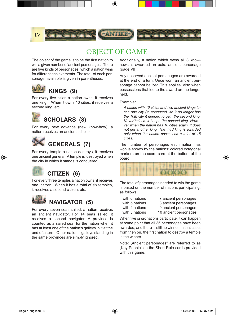

⊕

# OBJECT OF GAME

The object of the game is to be the first nation to win a given number of ancient personages. There are five kinds of personages, which a nation wins for different achievements. The total of each personage available is given in parentheses:



For every five cities a nation owns, it receives one king. When it owns 10 cities, it receives a second king, etc.



For every new advance (new know-how), a nation receives an ancient scholar



For every temple a nation destroys, it receives one ancient general. A temple is destroyed when the city in which it stands is conquered.

# **CITIZEN (6)**

For every three temples a nation owns, it receives one citizen. When it has a total of six temples, it receives a second citizen, etc.



For every seven seas sailed, a nation receives an ancient navigator. For 14 seas sailed, it receives a second navigator. A province is counted as a sailed sea for the nation when it has at least one of the nation's galleys in it at the end of a turn. Other nations' galleys standing in the same provinces are simply ignored.

Additionally, a nation which owns all 8 knowhows is awarded an extra ancient personage (page VII).

Any deserved ancient personages are awarded at the end of a turn. Once won, an ancient personage cannot be lost. This applies also when possessions that led to the award are no longer held.

#### Example*:*

*A nation with 10 cities and two ancient kings loses one city (to conquest), so it no longer has the 10th city it needed to gain the second king. Nevertheless, it keeps the second king. However when the nation has 10 cities again, it does not get another king. The third king is awarded only when the nation possesses a total of 15 cities.*

The number of personages each nation has won is shown by the nations' colored octagonal markers on the score card at the bottom of the board.

|  |  |  |  |  | 6 FB 1 7 1810 14 18 19                                                               |  |  |
|--|--|--|--|--|--------------------------------------------------------------------------------------|--|--|
|  |  |  |  |  | <b>LATING A REPORT OF THE CALL AND</b><br><b>SALES AND ARRANGEMENT OF STATISTICS</b> |  |  |

The total of personages needed to win the game is based on the number of nations participating, as follows

| with 6 nations | 7 ancient personages  |
|----------------|-----------------------|
| with 5 nations | 8 ancient personages  |
| with 4 nations | 9 ancient personages  |
| with 3 nations | 10 ancient personages |

with 5 nations 8 ancient personages with 4 nations 9 ancient personages with 3 nations 10 ancient personages ⊕

When five or six nations participate, it can happen at some point that all 35 personages have been awarded, and there is still no winner. In that case, from then on, the first nation to destroy a temple is the winner.

Note: "Ancient personages" are referred to as "Key People" on the Short Rule cards provided with this game.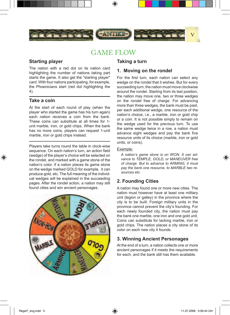

# GAME FLOW

#### **Starting player**

The nation with a red dot on its nation card highlighting the number of nations taking part starts the game. It also get the "starting player" card. With four nations participating, for example, the Phoenicians start (red dot highlighting the 4).

#### **Take a coin**

⊕

At the start of each round of play (when the player who started the game has his turn again) each nation receives a coin from the bank. These coins can substitute at all times for 1 unit marble, iron, or gold chips. When the bank has no more coins, players can request 1-unit marble, iron or gold chips instead.

Players take turns round the table in clock-wise sequence. On each nation's turn, an action field (wedge) of the player's choice will be selected on the rondel, and marked with a game stone of the nation's color. If a nation places its game stone on the wedge marked GOLD for example, it can produce gold, etc. The full meaning of the individual wedges will be explained in the succeeding pages. After the rondel action, a nation may still found cities and win ancient personages.



#### **Taking a turn**

#### **1. Moving on the rondel**

For the first turn, each nation can select any wedge on the rondel that it wishes. But for every succeeding turn, the nation must move clockwise around the rondel. Starting from its last position, the nation may move one, two or three wedges on the rondel free of charge. For advancing more than three wedges, the bank must be paid, per each additional wedge, one resource of the nation's choice, i.e., a marble, iron or gold chip or a coin. It is not possible simply to remain on the wedge used for the previous turn. To use the same wedge twice in a row, a nation must advance eight wedges and pay the bank five resource units of its choice (marble, iron or gold units, or coins).

#### Example*:*

*A nation's game stone is on IRON. It can advance to TEMPLE, GOLD, or MANEUVER free of charge. But to advance to ARMING, it must pay the bank one resource, to MARBLE two resources etc.*

#### **2. Founding Cities**

A nation may found one or more new cities. The nation must however have at least one military unit (legion or galley) in the province where the city is to be built. Foreign military units in the province cannot prevent the city's founding. For each newly founded city, the nation must pay the bank one marble, one iron and one gold unit. Coins can substitute for lacking marble, iron or gold chips. The nation places a city stone of its color on each new city it founds.

#### **3. Winning Ancient Personages**

At the end of a turn, a nation collects one or more ancient personages if it meets the requirements for each, and the bank still has them available.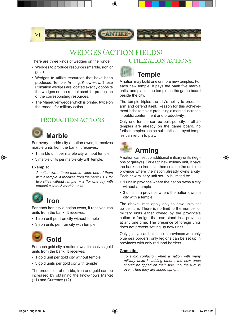

⊕

# WEDGES (ACTION FIELDS)<br>of wedges on the rondel: UTILIZATION ACTIONS

There are three kinds of wedges on the rondel:

- Wedges to produce resources (marble, iron or gold)
- Wedges to utilize resources that have been produced: Temple, Arming, Know-How. These utilization wedges are located exactly opposite the wedges on the rondel used for production of the corresponding resources.
- The Maneuver wedge which is printed twice on the rondel, for military action.

#### PRODUCTION ACTIONS

# **Marble**

For every marble city a nation owns, it receives marble units from the bank. It receives:

- 1 marble unit per marble city without temple
- 3 marble units per marble city with temple.

#### **Example:**

⊕

*A nation owns three marble cities, one of them with a temple. It receives from the bank 1 + 1(for two cities without temple) + 3 (for one city with temple) = total 5 marble units.*



For each iron city a nation owns, it receives iron units from the bank. It receives:

- 1 iron unit per iron city without temple
- 3 iron units per iron city with temple

# **Gold**

For each gold city a nation owns,it receives gold units from the bank. It receives:

- 1 gold unit per gold city without temple
- 3 gold units per gold city with temple

The production of marble, iron and gold can be increased by obtaining the know-hows Market (+1) and Currency (+2).



## **Temple**

A nation may build one or more new temples. For each new temple, it pays the bank five marble units, and places the temple on the game board beside the city.

The temple triples the city's ability to produce, arm and defend itself. Reason for this achievement is the temple's producing a marked increase in public contentment and productivity.

Only one temple can be built per city. If all 20 temples are already on the game board, no further temples can be built until destroyed temples can return to play.



# **Arming**

A nation can set up additional military units (legions or galleys). For each new military unit, it pays the bank one iron unit, then sets up the unit in a province where the nation already owns a city. Each new military unit set-up is limited to:

- 1 unit in province where the nation owns a city without a temple
- 3 units in a province where the nation owns a city with a temple

The above limits apply only to new units set up per turn. There is no limit to the number of military units either owned by the province's nation or foreign, that can stand in a province at any one time. The presence of foreign units does not prevent setting up new units.

Only galleys can be set up in provinces with only blue sea borders; only legions can be set up in provinces with only red land borders.

#### **Game tip:**

*To avoid confusion when a nation with many military units is adding others, the new ones should be tipped on their side until the turn is over. Then they are tipped upright.*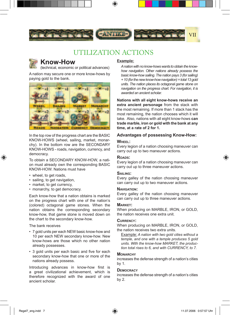

# UTILIZATION ACTIONS



### **Know-How**

(technical, economic or political advances)

A nation may secure one or more know-hows by paying gold to the bank.



In the top row of the progress chart are the BASIC KNOW-HOWS (wheel, sailing, market, monarchy). In the bottom row are the SECONDARY KNOW-HOWS - roads, navigation, currency, and democracy.

To obtain a SECONDARY KNOW-HOW, a nation must already own the corresponding BASIC KNOW-HOW. Nations must have

• wheel, to get roads,

⊕

- sailing, to get navigation,
- market, to get currency,
- monarchy, to get democracy.

Each know-how that a nation obtains is marked on the progress chart with one of the nation's (colored) octagonal game stones. When the nation obtains the corresponding secondary know-how, that game stone is moved down on the chart to the secondary know-how.

The bank receives

- 7 gold units per each NEW basic know-how and 10 per each NEW secondary know-how. New know-hows are those which no other nation already possesses.
- 3 gold units per each basic and five for each secondary know-how that one or more of the nations already possess.

Introducing advances in know-how first is a great civilizational achievement, which is therefore recognized with the award of one ancient scholar.

#### **Example:**

*A nation with no know-hows wants to obtain the knowhow navigation. Other nations already possess the basic know-how sailing. The nation pays 3 (for sailing) + 10 (for the new know-how navigation) = total 13 gold units. The nation places its octagonal game stone on navigation on the progress chart. For navigation, it is awarded an ancient scholar.*

**Nations with all eight know-hows receive an extra ancient personage** from the stack with the most remaining. If more than 1 stack has the most remaining, the nation chooses which it will take. Also, nations with all eight know-hows **can trade marble, iron or gold with the bank at any time, at a rate of 2 for 1.**

#### **Advantages of possessing Know-How:**

#### **WHEEL:**

Every legion of a nation choosing maneuver can carry out up to two maneuver actions.

#### **ROADS:**

Every legion of a nation choosing maneuver can carry out up to three maneuver actions.

#### **SAILING:**

Every galley of the nation choosing maneuver can carry out up to two maneuver actions.

#### **NAVIGATION:**

Every galley of the nation choosing maneuver can carry out up to three maneuver actions.

#### **MARKET:**

When producing on MARBLE, IRON, or GOLD, the nation receives one extra unit.

#### **CURRENCY:**

When producing on MARBLE, IRON, or GOLD, the nation receives two extra units.

Example: *A nation with two gold cities without a temple, and one with a temple produces 5 gold units. With the know-how MARKET, the production total rises to 6, and with CURRENCY, to 7.*

#### **MONARCHY**

increases the defense strength of a nation's cities by 1.

#### **DEMOCRACY**

increases the defense strength of a nation's cities by 2.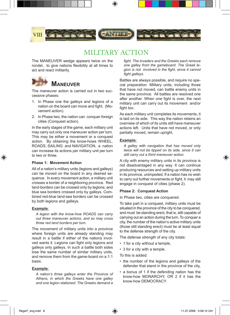

# MILITARY ACTION

The MANEUVER wedge appears twice on the rondel, to give nations flexibility at all times to act and react militarily.



 **MANEUVER**

The maneuver action is carried out in two successive phases:

- 1. In Phase one the galleys and legions of a nation on the board can move and fight. (Movement action).
- 2. In Phase two, the nation can conquer foreign cities (Conquest action).

In the early stages of the game, each military unit may carry out only one maneuver action per turn. This may be either a movement or a conquest action. By obtaining the know-hows WHEEL, ROADS, SAILING and NAVIGATION, a nation can increase its actions per military unit per turn to two or three.

#### **Phase 1: Movement Action**

All of a nation's military units (legions and galleys) can be moved on the board in any desired sequence. In every movement action, a military unit crosses a border of a neighboring province. Red land-borders can be crossed only by legions, and blue sea borders crossed only by galleys. Combined red-blue land-sea borders can be crossed by both legions and galleys.

#### **Example***:*

⊕

*A legion with the know-how ROADS can carry out three maneuver actions, and so may cross three red land borders per turn.*

The movement of military units into a province where foreign units are already standing may result in a battle if either of the nations involved wants it. Legions can fight only legions and galleys only galleys. In such a battle both sides lose the same number of similar military units, and remove them from the game-board on a 1:1 basis.

#### **Example***:*

*A nation's three galleys enter the Province of Athens, in which the Greeks have one galley and one legion stationed. The Greeks demand a* 

*fight. The invaders and the Greeks each remove one galley from the gameboard. The Greek legion is not involved in the fight, since it cannot fight galleys.*

Battles are always possible, and require no special preparation. Military units, including those that have not moved, can battle enemy units in the same province. All battles are resolved one after another. When one fight is over, the next military unit can carry out its movement and/or fight too.

As each military unit completes its movements, it is laid on its side. This way the nation retains an overview of which of its units still have maneuver actions left. Units that have not moved, or only partially moved, remain upright.

#### **Example***:*

*A galley with navigation that has moved only twice will not be tipped on its side, since it can still carry out a third maneuver action.*

A city with enemy military units in its province is not disadvantaged in any way. It can continue producing resources and setting up military units in its province, unimpeded. If a nation has no wish to carry out further movements or fight, it may still engage in conquest of cities (phase 2).

#### **Phase 2: Conquest Action**

In Phase two, cities are conquered.

To take part in a conquest, military units must be situated in the province of the city to be conquered, and must be standing erect, that is, still capable of carrying out an action during the turn. To conquer a city, the number of the nation's active military units (those still standing erect) must be at least equal to the defense strength of the city.

The defense strength of any city totals:

- 1 for a city without a temple,
- 3 for a city with a temple.

To this is added:

- the number of the legions and galleys of the defender that stand in the province of the city,
- a bonus of 1 if the defending nation has the know-how MONARCHY, OR 2 if it has the know-how DEMOCRACY.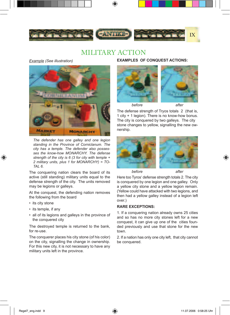

# MILITARY ACTION

*Example (See illustration)*



*The defender has one galley and one legion standing in the Province of Corniclanum. The city has a temple. The defender also possesses the know-how MONARCHY. The defense strength of the city is 6 (3 for city with temple + 2 military units, plus 1 for MONARCHY) = TO-TAL 6.*

The conquering nation clears the board of its active (still standing) military units equal to the defense strength of the city. The units removed may be legions or galleys.

At the conquest, the defending nation removes the following from the board

• its city stone

⊕

- its temple, if any
- all of its legions and galleys in the province of the conquered city

The destroyed temple is returned to the bank, for re-use.

The conquerer places his city stone (of his color) on the city, signalling the change in ownership. For this new city, it is not necessary to have any military units left in the province.

**EXAMPLES OF CONQUEST ACTIONS:**



The defense strength of Tryos totals 2 (that is, 1 city + 1 legion). There is no know-how bonus. The city is conquered by two galleys. The city stone changes to yellow, signalling the new ownership.



⊕

Here too Tyros' defense strength totals 2. The city is conquered by one legion and one galley. Only a yellow city stone and a yellow legion remain. (Yellow could have attacked with two legions, and then had a yellow galley instead of a legion left over.)

#### **RARE EXCEPTIONS:**

1. If a conquering nation already owns 25 cities and so has no more city stones left for a new conquest, it can give up one of the cities founded previously and use that stone for the new town.

2. If a nation has only one city left, that city cannot be conquered.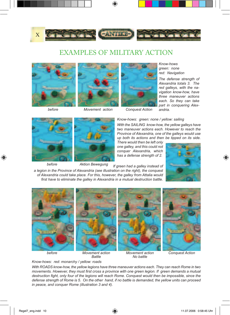

# EXAMPLES OF MILITARY ACTION







*Know-hows green: none red: Navigation*

*The defense strength of Alexandria totals 3. The red galleys, with the navigation know-how, have three maneuver actions each. So they can take part in conquering Alexandria.*

 *before Movement action Conquest Action*

⊕



*Know-hows: green: none / yellow: sailing*

*With the SAILING know-how, the yellow galleys have two maneuver actions each. However to reach the Province of Alexandria, one of the galleys would use up both its actions and then be tipped on its side.* 

*There would then be left only one galley, and this could not conquer Alexandria, which has a defense strength of 2.*

⊕

 *before Aktion Bewegung If green had a galley instead of a legion in the Province of Alexandria (see illustration on the right), the conquest of Alexandria could take place. For this, however, the galley from Attalia would first have to eliminate the galley in Alexandria in a mutual destruction battle.*



*before Movement action Movement action Conquest Action*

*Battle No battle*

*Know-hows: red: monarchy / yellow: roads*

*With ROADS know-how, the yellow legions have three maneuver actions each. They can reach Rome in two movements. However, they must first cross a province with one green legion. If green demands a mutual destruction fight, only four of the legions will reach Rome. Conquest would then be impossible, since the defense strength of Rome is 5. On the other hand, if no battle is demanded, the yellow units can proceed in peace, and conquer Rome (illustration 3 and 4).*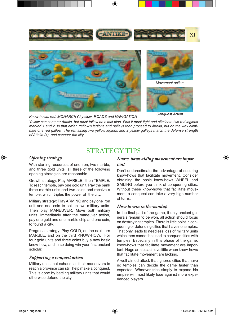

*Know-hows: red: MONARCHY / yellow: ROADS and NAVIGATION*

*Conquest Action*

*Yellow can conquer Attalia, but must follow an exact plan. First it must fight and eliminate two red legions marked 1 and 2, in that order. Yellow's legions and galleys then proceed to Attalia, but on the way eliminate one red galley. The remaining two yellow legions and 2 yellow galleys match the defense strength of Attalia (4), and conquer the city.*

## STRATEGY TIPS

#### *Opening strategy*

⊕

With starting resources of one iron, two marble, and three gold units, all three of the following opening strategies are reasonable.

Growth strategy: Play MARBLE, then TEMPLE. To reach temple, pay one gold unit. Pay the bank three marble units and two coins and receive a temple, which triples the power of the city.

Military strategy: Play ARMING and pay one iron unit and one coin to set up two military units. Then play MANEUVER. Move both military units. Immediately after the maneuver action, pay one gold and one marble chip and one coin, to found a city.

Progress strategy: Play GOLD, on the next turn MARBLE, and on the third KNOW-HOW. For four gold units and three coins buy a new basic know-how, and in so doing win your first ancient scholar.

#### *Supporting a conquest action*

Military units that exhaust all their maneuvers to reach a province can still help make a conquest. This is done by battling military units that would otherwise defend the city.

#### *Know-hows aiding movement are important*

Don't underestimate the advantage of securing know-hows that facilitate movement. Consider obtaining the basic know-hows WHEEL and SAILING before you think of conquering cities. Without these know-hows that facilitate movement, a conquest can take a very high number of turns.

#### *How to win in the windup*

In the final part of the game, if only ancient generals remain to be won, all action should focus on destroying temples. There is little point in conquering or defending cities that have no temples. That only leads to needless loss of military units which then cannot be used to conquer cities with temples. Especially in this phase of the game, know-hows that facilitate movement are important. Huge armies achieve little when know-hows that facilitate movement are lacking.

A well-aimed attack that ignores cities that have no temples can decide the game faster than expected. Whoever tries simply to expand his empire will most likely lose against more experienced players.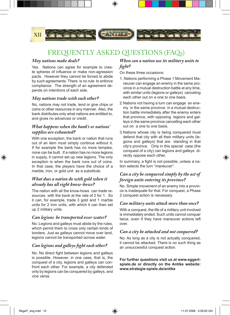

⊕

# FREQUENTLY ASKED QUESTIONS (FAQs)

#### *May nations make deals?*

Yes. Nations can agree for example to create spheres of influence or make non-agression pacts. However they cannot be forced to abide by such agreements. There is no rule to enforce compliance. The strength of an agreement depends on intentions of each side.

#### *May nations trade with each other?*

No, nations may not trade, lend or give chips or coins or other resources in any manner. Also, the bank distributes only what nations are entitled to, and gives no advances or credit.

#### *What happens when the bank's or nations' supplies are exhausted?*

With one exception, the bank or nation that runs out of an item must simply continue without it. If for example the bank has no more temples, none can be built. If a nation has no more legions in supply, it cannot set up new legions. The only exception is when the bank runs out of coins. In that case, the players have the choice of a marble, iron, or gold unit as a substitute.

#### *What does a nation do with gold when it already has all eight know-hows?*

The nation with all the know-hows can trade resources with the bank at the rate of 2 for 1. So it can, for example, trade 3 gold and 1 marble units for 2 iron units, with which it can then set up 2 military units.

#### *Can legions be transported over water?*

No. Legions and galleys must abide by the rules, which permit them to cross only certain kinds of borders. Just as galleys cannot move over land, legions cannot be transported across water.

#### *Can legions and galleys fight each other?*

No. No direct fight between legions and galleys is possible. However, in one case, that is, the conquest of a city, legions and galleys can confront each other. For example, a city defended only by legions can be conquered by galleys, and vice versa.

#### *When can a nation use its military units to fight?*

On these three occasions:

- 1. Nations performing a Phase 1 Movement Maneuver can engage an enemy in the same province in a mutual destruction battle at any time, with similar units (legions or galleys) canceling each other out on a one to one basis.
- 2. Nations not having a turn can engage an enemy in the same province in a mutual destruction battle immediately after the enemy enters that province, with opposing legions and galleys in the same province cancelling each other out on a one to one basis.
- 3. Nations whose city is being conquered must defend that city with all their military units (legions and galleys) that are standing in that city's province. Only in this special case (the conquest of a city) can legions and galleys directly oppose each other.

In summary, a fight is not possible, unless a nation selects the turn "maneuver".

#### *Can a city be conquered simply by the act of foreign units entering its province?*

No. Simple movement of an enemy into a province is inadequate for that. For conquest, a Phase 2 conquest action is necessary.

#### *Can military units attack more than once?*

With a conquest, the life of a military unit involved is immediately ended. Such units cannot conquer twice, even if they have maneuver actions left over.

#### *Can a city be attacked and not conquered?*

No. As long as a city is not actually conquered, it cannot be attacked. There is no such thing as an unsuccessful conquest action.

#### **For further questions visit us at www.eggertspiele.de or directly on the Antike website: www.strategie-spiele.de/antike**

⊕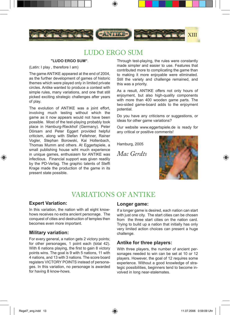

# LUDO ERGO SUM

#### **"LUDO ERGO SUM"**.

(Latin: I play , therefore I am)

The game ANTIKE appeared at the end of 2004, as the further development of games of historic themes which were played only in limited private circles. Antike wanted to produce a contest with simple rules, many variations, and one that still picked exciting strategic challenges after years of play.

The evolution of ANTIKE was a joint effort, involving much testing without which the game as it now appears would not have been possible. Most of the test-playing probably took place in Hamburg-Rieckhof (Germany). Peter Dörsam and Peter Eggert provided helpful criticism, along with Stefan Fellehner, Rainer Vogler, Stephan Borowski, Kai Hollenbach, Thomas Mumm and others. At Eggertspiele, a small publishing house wiht much experience in unique games, enthusiasm for ANTIKE was infectious. Financial support was given readily by the PD-Verlag. The graphic talents of Steffi Krage made the production of the game in its present state possible.

Through test-playing, the rules were constantly made simpler and easier to use. Features that contributed more to complicating the game than to making it more enjoyable were eliminated. Still the variety and challenge remained, and this was a priority.

As a result, ANTIKE offers not only hours of enjoyment, but also high-quality components with more than 400 wooden game parts. The two-sided game-board adds to the enjoyment potential.

Do you have any criticisms or suggestions, or ideas for other game variations?

Our website www.eggertspiele.de is ready for any critical or positive comments!

Hamburg, 2005

*Mac Gerdts*



 $\bigoplus$ 

# VARIATIONS OF ANTIKE

#### **Expert Variation:**

◈

In this variation, the nation with all eight knowhows receives no extra ancient personage. The conquest of cities and destruction of temples then becomes even more important.

#### **Military variation:**

For every general, a nation gets 2 victory points; for other personages, 1 point each (total 42). With 6 nations playing, the first to gain 8 victory points wins. The goal is 9 with 5 nations, 11 with 4 nations, and 13 with 3 nations. The score board registers VICTORY POINTS instead of personages. In this variation, no personage is awarded for having 8 know-hows.

#### **Longer game:**

If a longer game is desired, each nation can start with just one city. The start cities can be chosen from the three start cities on the nation card. Trying to build up a nation that initially has only very limited action choices can present a huge challenge.

#### **Antike for three players:**

With three players, the number of ancient personages needed to win can be set at 10 or 12 players. However, the goal of 12 requires some experience. Without a good knowledge of strategic possibilities, beginners tend to become involved in long near-stalemates.